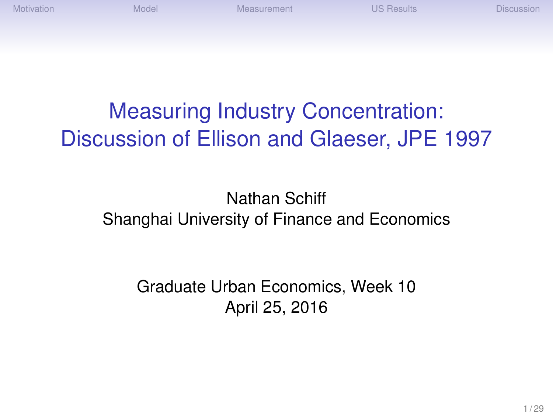[Motivation](#page-2-0) [Model](#page-4-0) [Measurement](#page-13-0) [US Results](#page-18-0) [Discussion](#page-27-0)

# Measuring Industry Concentration: Discussion of Ellison and Glaeser, JPE 1997

#### Nathan Schiff Shanghai University of Finance and Economics

Graduate Urban Economics, Week 10 April 25, 2016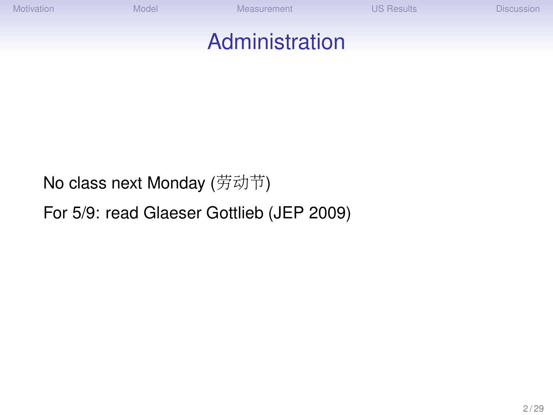[Motivation](#page-2-0) [Model](#page-4-0) [Measurement](#page-13-0) [US Results](#page-18-0) [Discussion](#page-27-0)

#### Administration

No class next Monday (劳动节)

For 5/9: read Glaeser Gottlieb (JEP 2009)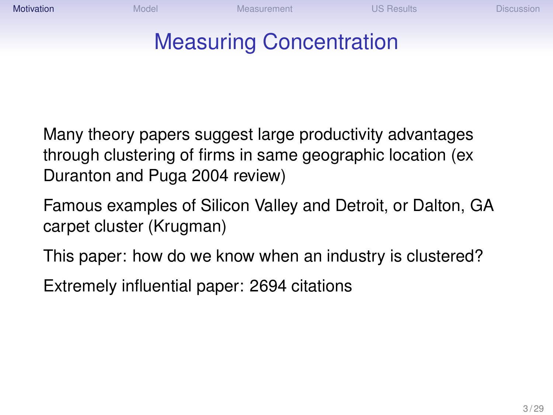<span id="page-2-0"></span>

# Measuring Concentration

Many theory papers suggest large productivity advantages through clustering of firms in same geographic location (ex Duranton and Puga 2004 review)

- Famous examples of Silicon Valley and Detroit, or Dalton, GA carpet cluster (Krugman)
- This paper: how do we know when an industry is clustered?
- Extremely influential paper: 2694 citations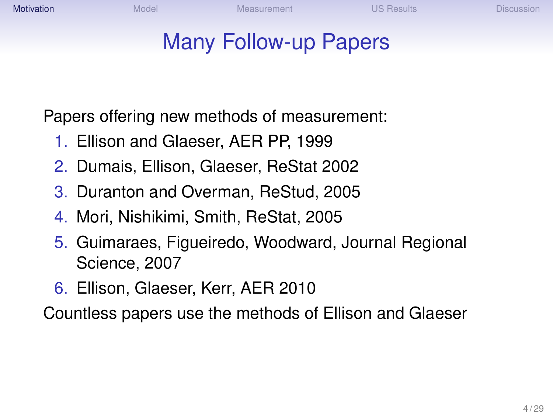### Many Follow-up Papers

Papers offering new methods of measurement:

- 1. Ellison and Glaeser, AER PP, 1999
- 2. Dumais, Ellison, Glaeser, ReStat 2002
- 3. Duranton and Overman, ReStud, 2005
- 4. Mori, Nishikimi, Smith, ReStat, 2005
- 5. Guimaraes, Figueiredo, Woodward, Journal Regional Science, 2007
- 6. Ellison, Glaeser, Kerr, AER 2010

Countless papers use the methods of Ellison and Glaeser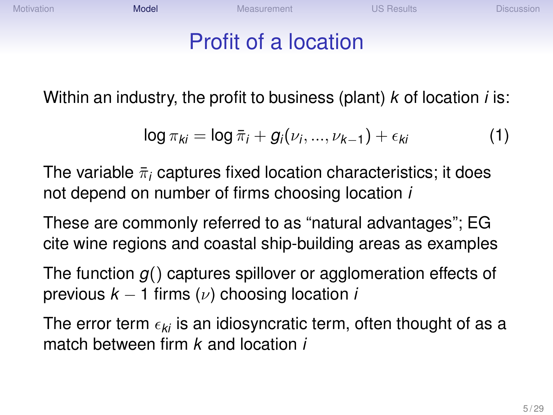<span id="page-4-0"></span>[Motivation](#page-2-0) **[Measurement](#page-13-0) [US Results](#page-18-0) [Discussion](#page-27-0)** [Model](#page-4-0) Measurement Custom US Results Discussion

### Profit of a location

Within an industry, the profit to business (plant) *k* of location *i* is:

$$
\log \pi_{ki} = \log \bar{\pi}_i + g_i(\nu_i, ..., \nu_{k-1}) + \epsilon_{ki}
$$
 (1)

The variable  $\bar{\pi}_i$  captures fixed location characteristics; it does not depend on number of firms choosing location *i*

These are commonly referred to as "natural advantages"; EG cite wine regions and coastal ship-building areas as examples

The function *g*() captures spillover or agglomeration effects of previous  $k - 1$  firms  $(\nu)$  choosing location *i* 

The error term  $\epsilon_{ki}$  is an idiosyncratic term, often thought of as a match between firm *k* and location *i*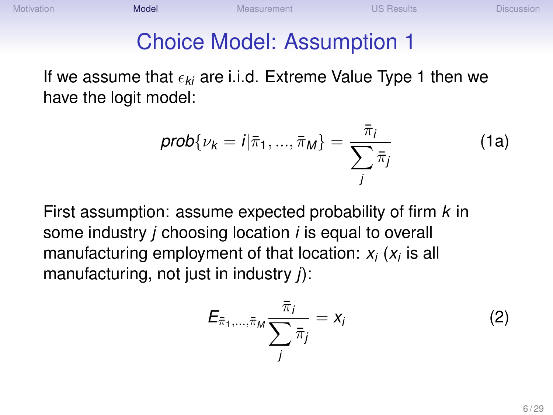#### Choice Model: Assumption 1

If we assume that  $\epsilon_{ki}$  are i.i.d. Extreme Value Type 1 then we have the logit model:

$$
prob\{\nu_k = i|\bar{\pi}_1, ..., \bar{\pi}_M\} = \frac{\bar{\pi}_i}{\sum_j \bar{\pi}_j}
$$
 (1a)

First assumption: assume expected probability of firm *k* in some industry *j* choosing location *i* is equal to overall manufacturing employment of that location: *x<sup>i</sup>* (*xi* is all manufacturing, not just in industry *j*):

$$
E_{\bar{\pi}_1,\ldots,\bar{\pi}_M}\frac{\bar{\pi}_i}{\sum_j \bar{\pi}_j}=x_i
$$
 (2)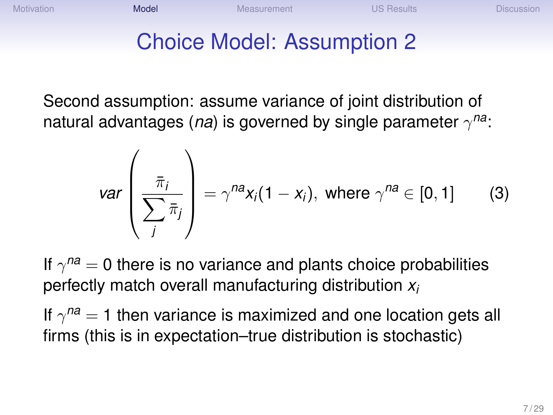# Choice Model: Assumption 2

Second assumption: assume variance of joint distribution of natural advantages (*na*) is governed by single parameter γ *na*:

$$
var\left(\frac{\bar{\pi}_i}{\sum_j \bar{\pi}_j}\right) = \gamma^{na} x_i (1 - x_i), \text{ where } \gamma^{na} \in [0, 1]
$$
 (3)

If  $\gamma^{na} = 0$  there is no variance and plants choice probabilities perfectly match overall manufacturing distribution *x<sup>i</sup>*

If  $\gamma^{na} = 1$  then variance is maximized and one location gets all firms (this is in expectation–true distribution is stochastic)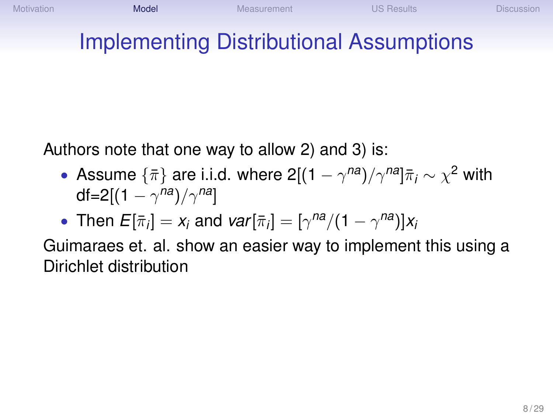# Implementing Distributional Assumptions

Authors note that one way to allow 2) and 3) is:

• Assume  $\{\bar{\pi}\}$  are i.i.d. where 2[(1 –  $\gamma^{na})/\gamma^{na}]\bar{\pi}_i \sim \chi^2$  with df=2[(1  $\gamma^{na})/\gamma^{na}]$ 

• Then 
$$
E[\bar{\pi}_i] = x_i
$$
 and  $var[\bar{\pi}_i] = [\gamma^{na}/(1 - \gamma^{na})]x_i$ 

Guimaraes et. al. show an easier way to implement this using a Dirichlet distribution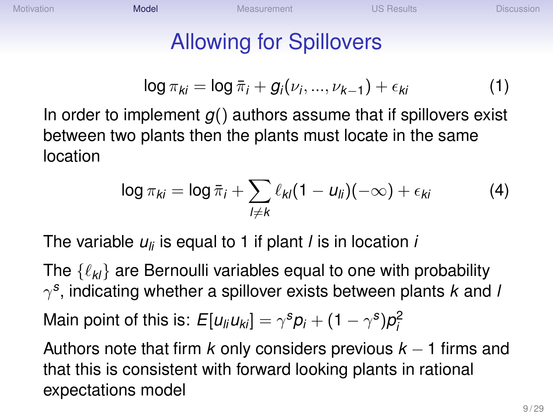# Allowing for Spillovers

$$
\log \pi_{ki} = \log \bar{\pi}_i + g_i(\nu_i, ..., \nu_{k-1}) + \epsilon_{ki}
$$
 (1)

In order to implement *g*() authors assume that if spillovers exist between two plants then the plants must locate in the same location

$$
\log \pi_{ki} = \log \bar{\pi}_i + \sum_{l \neq k} \ell_{kl} (1 - u_{li}) (-\infty) + \epsilon_{ki}
$$
 (4)

The variable *uli* is equal to 1 if plant *l* is in location *i*

The  $\{\ell_{kl}\}$  are Bernoulli variables equal to one with probability γ *s* , indicating whether a spillover exists between plants *k* and *l* Main point of this is:  $E[u_{li}u_{ki}]=\gamma^{s}p_{i}+(1-\gamma^{s})p_{i}^{2}$ 

Authors note that firm *k* only considers previous *k* − 1 firms and that this is consistent with forward looking plants in rational expectations model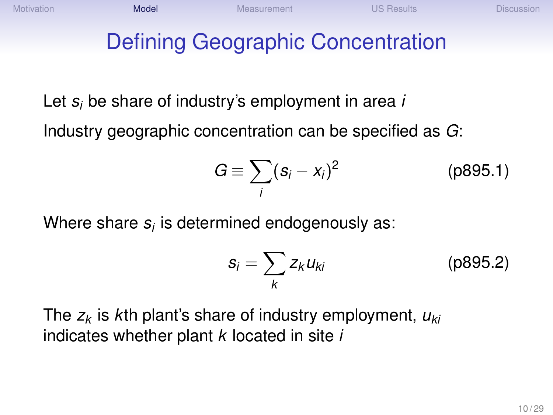# Defining Geographic Concentration

Let *s<sup>i</sup>* be share of industry's employment in area *i*

Industry geographic concentration can be specified as *G*:

$$
G \equiv \sum_i (s_i - x_i)^2 \qquad (p895.1)
$$

Where share  $s_i$  is determined endogenously as:  $\,$ 

$$
s_i = \sum_k z_k u_{ki}
$$
 (p895.2)

The *z<sup>k</sup>* is *k*th plant's share of industry employment, *uki* indicates whether plant *k* located in site *i*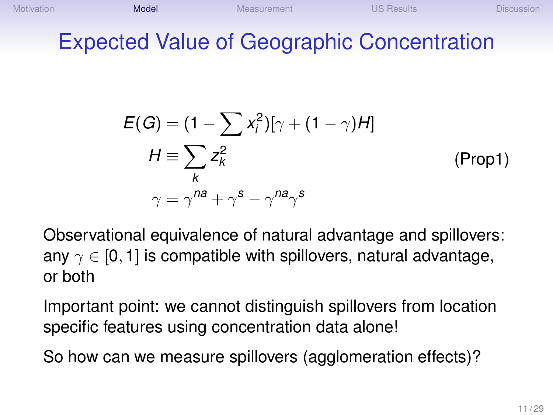#### Expected Value of Geographic Concentration

$$
E(G) = (1 - \sum_{i} x_i^2) [\gamma + (1 - \gamma)H]
$$
  
\n
$$
H \equiv \sum_{k} z_k^2
$$
 (Prop1)  
\n
$$
\gamma = \gamma^{na} + \gamma^s - \gamma^{na} \gamma^s
$$

Observational equivalence of natural advantage and spillovers: any  $\gamma \in [0, 1]$  is compatible with spillovers, natural advantage, or both

Important point: we cannot distinguish spillovers from location specific features using concentration data alone!

So how can we measure spillovers (agglomeration effects)?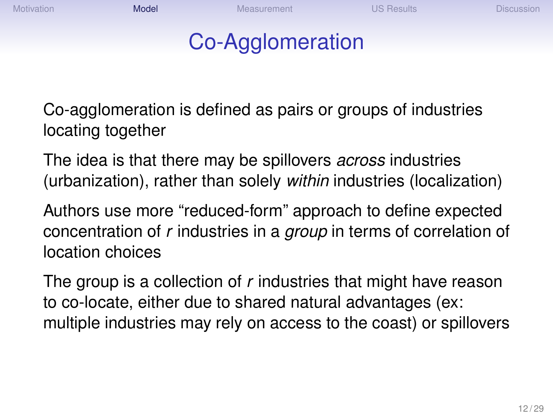[Motivation](#page-2-0) **[Measurement](#page-13-0) [US Results](#page-18-0) [Discussion](#page-27-0)** [Model](#page-4-0) Measurement Custom US Results Discussion

### Co-Agglomeration

Co-agglomeration is defined as pairs or groups of industries locating together

The idea is that there may be spillovers *across* industries (urbanization), rather than solely *within* industries (localization)

Authors use more "reduced-form" approach to define expected concentration of *r* industries in a *group* in terms of correlation of location choices

The group is a collection of *r* industries that might have reason to co-locate, either due to shared natural advantages (ex: multiple industries may rely on access to the coast) or spillovers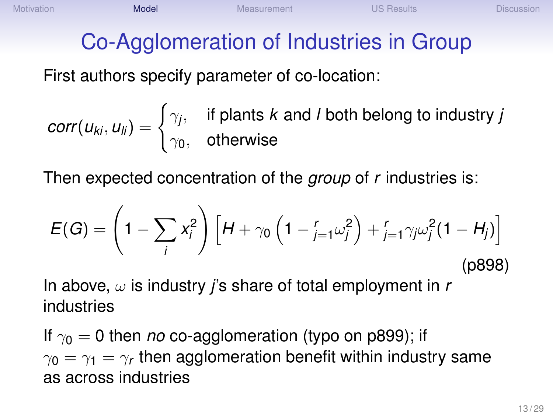# Co-Agglomeration of Industries in Group

First authors specify parameter of co-location:

$$
corr(u_{ki}, u_{li}) = \begin{cases} \gamma_j, & \text{if plants } k \text{ and } l \text{ both belong to industry } j \\ \gamma_0, & \text{otherwise} \end{cases}
$$

Then expected concentration of the *group* of *r* industries is:

$$
E(G) = \left(1 - \sum_{i} x_{i}^{2}\right) \left[H + \gamma_{0} \left(1 - \sum_{j=1}^{r} \omega_{j}^{2}\right) + \sum_{j=1}^{r} \gamma_{j} \omega_{j}^{2} (1 - H_{j})\right]
$$
\n(p898)

In above,  $\omega$  is industry *j*'s share of total employment in *r* industries

If  $\gamma_0 = 0$  then *no* co-agglomeration (typo on p899); if  $\gamma_{\mathbf{0}}=\gamma_1=\gamma_r$  then agglomeration benefit within industry same as across industries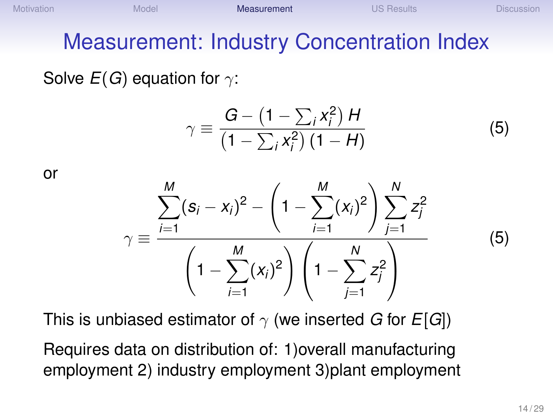#### <span id="page-13-0"></span>Measurement: Industry Concentration Index

Solve  $E(G)$  equation for  $\gamma$ :

$$
\gamma \equiv \frac{G - \left(1 - \sum_{i} x_i^2\right) H}{\left(1 - \sum_{i} x_i^2\right) \left(1 - H\right)}\tag{5}
$$

or

$$
\gamma \equiv \frac{\sum_{i=1}^{M} (s_i - x_i)^2 - \left(1 - \sum_{i=1}^{M} (x_i)^2\right) \sum_{j=1}^{N} z_j^2}{\left(1 - \sum_{i=1}^{M} (x_i)^2\right) \left(1 - \sum_{j=1}^{N} z_j^2\right)}
$$

(5)

This is unbiased estimator of  $\gamma$  (we inserted *G* for *E*[*G*])

Requires data on distribution of: 1)overall manufacturing employment 2) industry employment 3)plant employment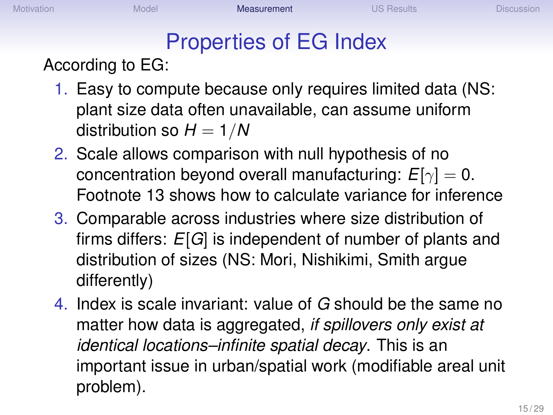# Properties of EG Index

According to EG:

- 1. Easy to compute because only requires limited data (NS: plant size data often unavailable, can assume uniform distribution so  $H = 1/N$
- 2. Scale allows comparison with null hypothesis of no concentration beyond overall manufacturing:  $E[\gamma] = 0$ . Footnote 13 shows how to calculate variance for inference
- 3. Comparable across industries where size distribution of firms differs: *E*[*G*] is independent of number of plants and distribution of sizes (NS: Mori, Nishikimi, Smith argue differently)
- 4. Index is scale invariant: value of *G* should be the same no matter how data is aggregated, *if spillovers only exist at identical locations–infinite spatial decay*. This is an important issue in urban/spatial work (modifiable areal unit problem).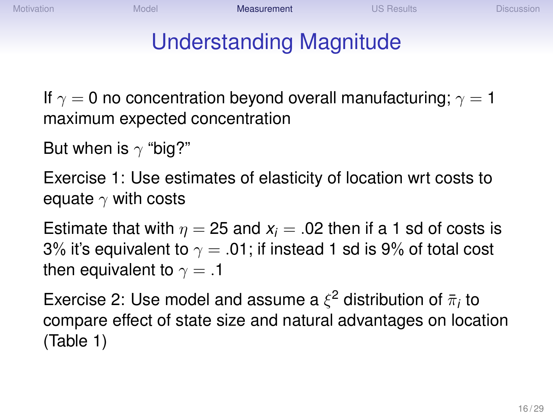# Understanding Magnitude

If  $\gamma = 0$  no concentration beyond overall manufacturing;  $\gamma = 1$ maximum expected concentration

But when is  $\gamma$  "big?"

Exercise 1: Use estimates of elasticity of location wrt costs to equate  $\gamma$  with costs

Estimate that with  $\eta = 25$  and  $x_i = 0.02$  then if a 1 sd of costs is 3% it's equivalent to  $\gamma = .01$ ; if instead 1 sd is 9% of total cost then equivalent to  $\gamma = .1$ 

Exercise 2: Use model and assume a  $\xi^2$  distribution of  $\bar{\pi}_i$  to compare effect of state size and natural advantages on location (Table 1)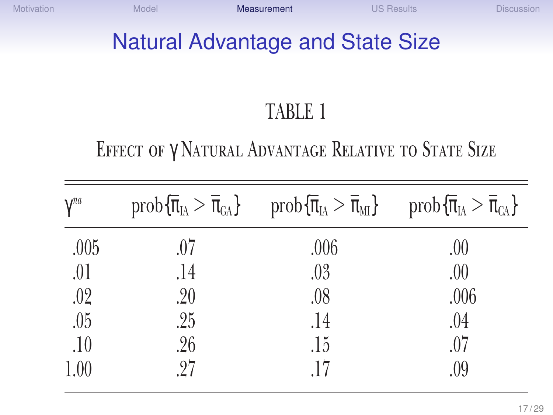#### Natural Advantage and State Size

### TABLE 1

#### Effect of γ Natural Advantage Relative to State Size

| $\gamma^{na}$ |     | $prob\{\overline{\pi}_{IA} > \overline{\pi}_{GA}\}\$ $prob\{\overline{\pi}_{IA} > \overline{\pi}_{MI}\}$ $prob\{\overline{\pi}_{IA} > \overline{\pi}_{GA}\}\$ |      |
|---------------|-----|---------------------------------------------------------------------------------------------------------------------------------------------------------------|------|
| .005          | .07 | .006                                                                                                                                                          | .00  |
| .01           | .14 | .03                                                                                                                                                           | .00. |
| .02           | .20 | .08                                                                                                                                                           | .006 |
| .05           | .25 | .14                                                                                                                                                           | .04  |
| .10           | .26 | .15                                                                                                                                                           | .07  |
| 1.00          | 27  | .17                                                                                                                                                           | .09  |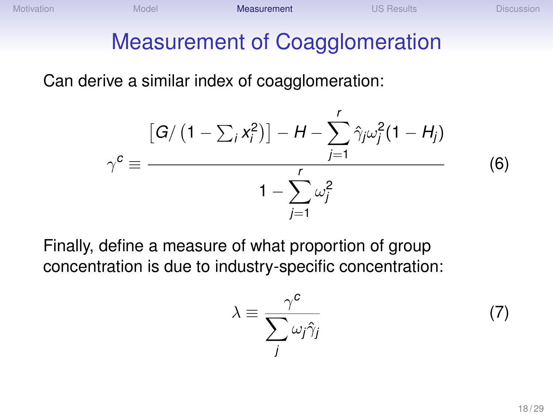[Motivation](#page-2-0) **[Model](#page-4-0) [Measurement](#page-13-0) [US Results](#page-18-0) [Discussion](#page-27-0)** Discussion

### Measurement of Coagglomeration

Can derive a similar index of coagglomeration:

$$
\gamma^{c} \equiv \frac{\left[G / \left(1 - \sum_{i} x_{i}^{2}\right)\right] - H - \sum_{j=1}^{r} \hat{\gamma}_{j} \omega_{j}^{2} (1 - H_{j})}{1 - \sum_{j=1}^{r} \omega_{j}^{2}}
$$
(6)

Finally, define a measure of what proportion of group concentration is due to industry-specific concentration:

$$
\lambda \equiv \frac{\gamma^c}{\sum_j \omega_j \hat{\gamma}_j} \tag{7}
$$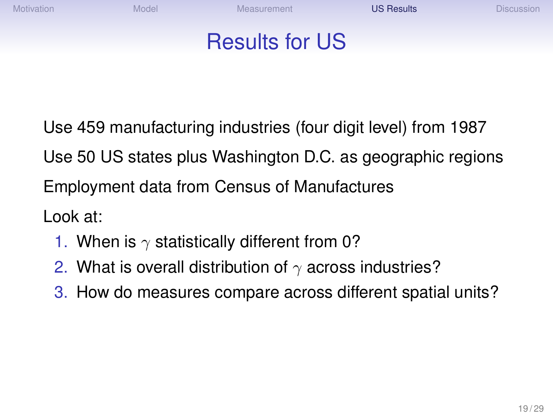<span id="page-18-0"></span>[Motivation](#page-2-0) **Mackup [Model](#page-4-0) [Measurement](#page-13-0)** Measurement **[US Results](#page-18-0)** [Discussion](#page-27-0)

#### Results for US

Use 459 manufacturing industries (four digit level) from 1987 Use 50 US states plus Washington D.C. as geographic regions Employment data from Census of Manufactures Look at:

- 1. When is  $\gamma$  statistically different from 0?
- 2. What is overall distribution of  $\gamma$  across industries?
- 3. How do measures compare across different spatial units?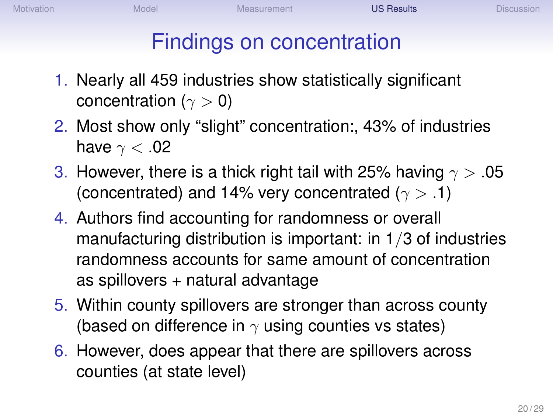# Findings on concentration

- 1. Nearly all 459 industries show statistically significant concentration ( $\gamma > 0$ )
- 2. Most show only "slight" concentration:, 43% of industries have  $\gamma < .02$
- 3. However, there is a thick right tail with 25% having  $\gamma > .05$ (concentrated) and 14% very concentrated ( $\gamma > .1$ )
- 4. Authors find accounting for randomness or overall manufacturing distribution is important: in 1/3 of industries randomness accounts for same amount of concentration as spillovers + natural advantage
- 5. Within county spillovers are stronger than across county (based on difference in  $\gamma$  using counties vs states)
- 6. However, does appear that there are spillovers across counties (at state level)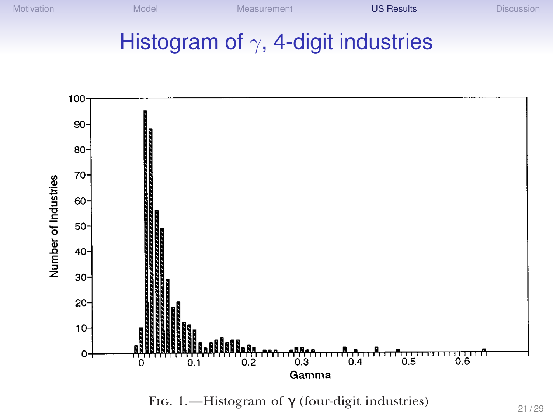#### Histogram of  $\gamma$ , 4-digit industries



FIG. 1.—Histogram of  $\gamma$  (four-digit industries)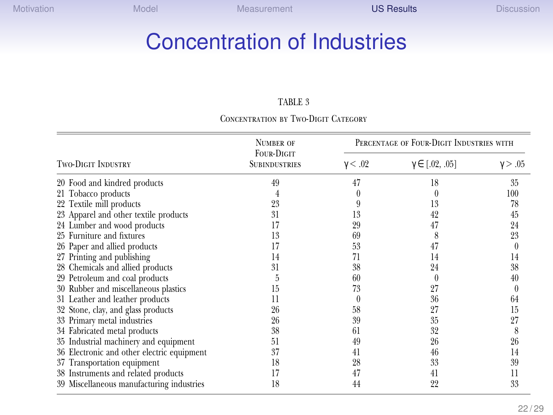#### Concentration of Industries

#### TABLE 3

#### Concentration by Two-Digit Category

|                                            | <b>NUMBER OF</b>                          |                | PERCENTAGE OF FOUR-DIGIT INDUSTRIES WITH |                |  |
|--------------------------------------------|-------------------------------------------|----------------|------------------------------------------|----------------|--|
| <b>TWO-DIGIT INDUSTRY</b>                  | <b>FOUR-DIGIT</b><br><b>SUBINDUSTRIES</b> | $\gamma < .02$ | $\gamma \in [0.02, 0.05]$                | $\gamma > .05$ |  |
| 20 Food and kindred products               | 49                                        | 47             | 18                                       | 35             |  |
| 21 Tobacco products                        |                                           |                |                                          | 100            |  |
| 22 Textile mill products                   | 23                                        |                | 13                                       | 78             |  |
| 23 Apparel and other textile products      | 31                                        | 13             | 42                                       | 45             |  |
| 24 Lumber and wood products                | 17                                        | 29             | 47                                       | 24             |  |
| 25 Furniture and fixtures                  | 13                                        | 69             | 8                                        | 23             |  |
| 26 Paper and allied products               | 17                                        | 53             | 47                                       |                |  |
| 27 Printing and publishing                 | 14                                        | 71             | 14                                       | 14             |  |
| 28 Chemicals and allied products           | 31                                        | 38             | 24                                       | 38             |  |
| 29 Petroleum and coal products             | h                                         | 60             |                                          | 40             |  |
| 30 Rubber and miscellaneous plastics       | 15                                        | 73             | 27                                       | $^{()}$        |  |
| 31 Leather and leather products            | 11                                        |                | 36                                       | 64             |  |
| 32 Stone, clay, and glass products         | 26                                        | 58             | 27                                       | 15             |  |
| 33 Primary metal industries                | 26                                        | 39             | 35                                       | 27             |  |
| 34 Fabricated metal products               | 38                                        | -61            | 32                                       | 8              |  |
| 35 Industrial machinery and equipment      | 51                                        | 49             | 26                                       | 26             |  |
| 36 Electronic and other electric equipment | 37                                        | 41             | 46                                       | 14             |  |
| 37 Transportation equipment                | 18                                        | 28             | 33                                       | 39             |  |
| 38 Instruments and related products        | 17                                        | 47             | 41                                       | 11             |  |
| 39 Miscellaneous manufacturing industries  | 18                                        | 44             | 22                                       | 33             |  |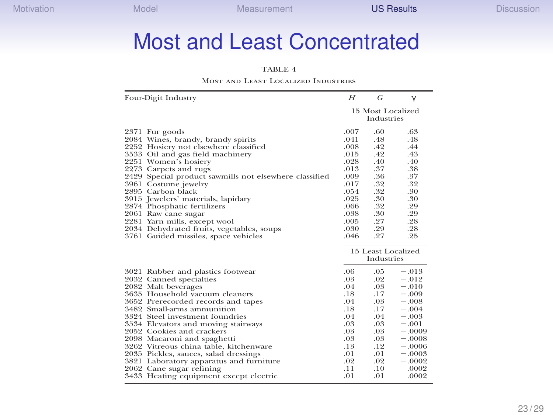#### Most and Least Concentrated

#### TABLE 4

#### Most and Least Localized Industries

| Four-Digit Industry |                                                        | H       | G                                | $\gamma$ |
|---------------------|--------------------------------------------------------|---------|----------------------------------|----------|
|                     |                                                        |         | 15 Most Localized<br>Industries  |          |
|                     | 2371 Fur goods                                         | .007    | .60                              | .63      |
|                     | 2084 Wines, brandy, brandy spirits                     | .041    | .48                              | .48      |
|                     | 2252 Hosiery not elsewhere classified                  | $.008-$ | .42                              | .44      |
|                     | 3533 Oil and gas field machinery                       | .015    | .42                              | .43      |
|                     | 2251 Women's hosiery                                   | .028    | .40                              | .40      |
|                     | 2273 Carpets and rugs                                  | .013    | .37                              | .38      |
|                     | 2429 Special product sawmills not elsewhere classified | $.009-$ | .36                              | .37      |
|                     | 3961 Costume jewelry                                   | .017    | .32                              | .32      |
|                     | 2895 Carbon black                                      | .054    | .32                              | .30      |
|                     | 3915 Jewelers' materials, lapidary                     | .025    | .30                              | .30      |
|                     | 2874 Phosphatic fertilizers                            | .066    | .32                              | .29      |
|                     | 2061 Raw cane sugar                                    | .038    | .30                              | .29      |
|                     | 2281 Yarn mills, except wool                           | .005    | .27                              | .28      |
|                     | 2034 Dehydrated fruits, vegetables, soups              | .030    | .29                              | .28      |
|                     | 3761 Guided missiles, space vehicles                   | .046    | .27                              | .25      |
|                     |                                                        |         | 15 Least Localized<br>Industries |          |
|                     | 3021 Rubber and plastics footwear                      | .06     | $.05 -$                          | $-.013$  |
|                     | 2032 Canned specialties                                | $.03-$  | .02                              | $-.012$  |
|                     | 2082 Malt beverages                                    | .04     | $.03-$                           | $-.010$  |
|                     | 3635 Household vacuum cleaners                         | .18     | .17                              | $-.009$  |
|                     | 3652 Prerecorded records and tapes                     | .04     | $.03-$                           | $-.008$  |
|                     | 3482 Small-arms ammunition                             | .18     | .17                              | $-.004$  |
|                     | 3324 Steel investment foundries                        | .04     | .04                              | $-.003$  |
|                     | 3534 Elevators and moving stairways                    | .03     | .03                              | $-.001$  |
|                     | 2052 Cookies and crackers                              | .03     | .03 <sub>1</sub>                 | $-.0009$ |
|                     | 2098 Macaroni and spaghetti                            | .03     | $.03-$                           | $-.0008$ |
|                     | 3262 Vitreous china table, kitchenware                 | .13     | .12                              | $-.0006$ |
|                     | 2035 Pickles, sauces, salad dressings                  | .01     | .01                              | $-.0003$ |
|                     | 3821 Laboratory apparatus and furniture                | $.02\,$ | $.02\,$                          | $-.0002$ |
|                     | 2062 Cane sugar refining                               | .11     | .10                              | .0002    |
|                     | 3433 Heating equipment except electric                 | .01     | .01                              | .0002    |
|                     |                                                        |         |                                  |          |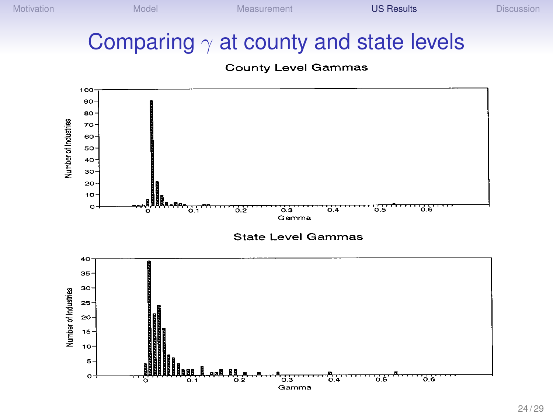#### Comparing  $\gamma$  at county and state levels

#### **County Level Gammas**

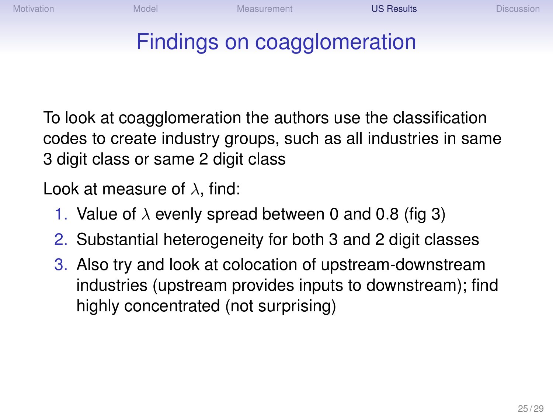#### Findings on coagglomeration

To look at coagglomeration the authors use the classification codes to create industry groups, such as all industries in same 3 digit class or same 2 digit class

Look at measure of  $\lambda$ , find:

- 1. Value of  $\lambda$  evenly spread between 0 and 0.8 (fig 3)
- 2. Substantial heterogeneity for both 3 and 2 digit classes
- 3. Also try and look at colocation of upstream-downstream industries (upstream provides inputs to downstream); find highly concentrated (not surprising)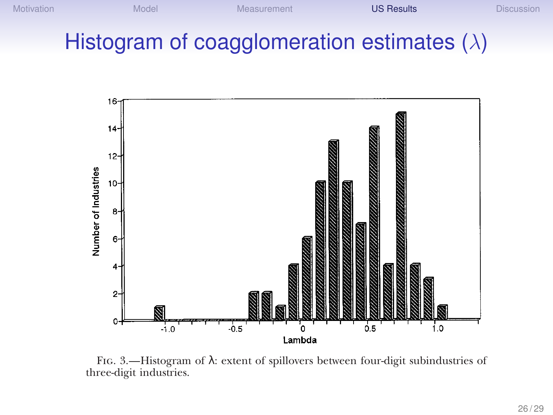#### Histogram of coagglomeration estimates  $(\lambda)$



Fig. 3.—Histogram of λ: extent of spillovers between four-digit subindustries of three-digit industries.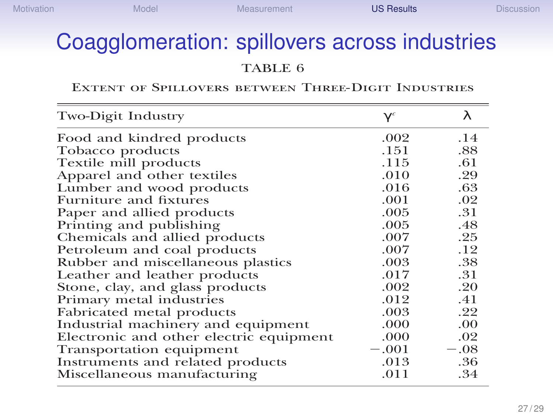#### Coagglomeration: spillovers across industries

TABLE 6

#### Extent of Spillovers between Three-Digit Industries

| Two-Digit Industry                      | $\gamma^{c}$ | λ      |
|-----------------------------------------|--------------|--------|
| Food and kindred products               | .002         | .14    |
| Tobacco products                        | .151         | .88    |
| Textile mill products                   | .115         | .61    |
| Apparel and other textiles              | .010         | .29    |
| Lumber and wood products                | .016         | .63    |
| Furniture and fixtures                  | .001         | .02    |
| Paper and allied products               | .005         | .31    |
| Printing and publishing                 | .005         | .48    |
| Chemicals and allied products           | .007         | .25    |
| Petroleum and coal products             | .007         | .12    |
| Rubber and miscellaneous plastics       | .003         | .38    |
| Leather and leather products            | .017         | .31    |
| Stone, clay, and glass products         | .002         | .20    |
| Primary metal industries                | .012         | .41    |
| Fabricated metal products               | .003         | .22    |
| Industrial machinery and equipment      | .000         | .00    |
| Electronic and other electric equipment | .000         | .02    |
| Transportation equipment                | $-.001$      | $-.08$ |
| Instruments and related products        | .013         | .36    |
| Miscellaneous manufacturing             | .011         | .34    |
|                                         |              |        |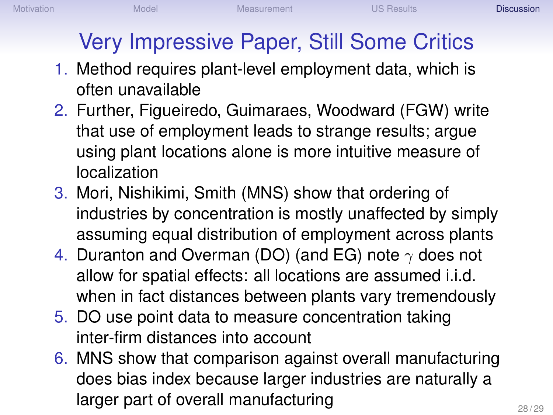# <span id="page-27-0"></span>Very Impressive Paper, Still Some Critics

- 1. Method requires plant-level employment data, which is often unavailable
- 2. Further, Figueiredo, Guimaraes, Woodward (FGW) write that use of employment leads to strange results; argue using plant locations alone is more intuitive measure of localization
- 3. Mori, Nishikimi, Smith (MNS) show that ordering of industries by concentration is mostly unaffected by simply assuming equal distribution of employment across plants
- 4. Duranton and Overman (DO) (and EG) note  $\gamma$  does not allow for spatial effects: all locations are assumed i.i.d. when in fact distances between plants vary tremendously
- 5. DO use point data to measure concentration taking inter-firm distances into account
- 6. MNS show that comparison against overall manufacturing does bias index because larger industries are naturally a larger part of overall manufacturing  $28/29$